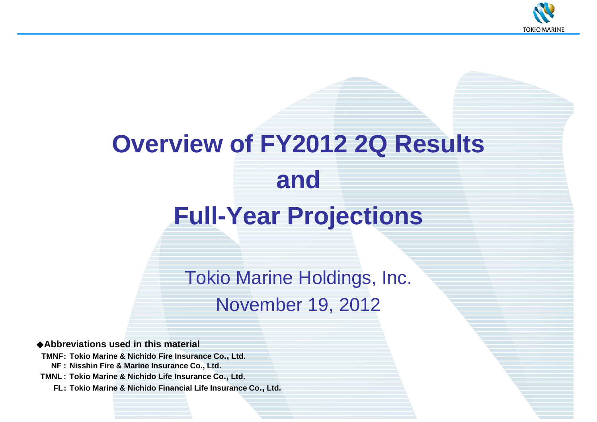

# **Overview of FY2012 2Q Results andFull-Year Projections**

Tokio Marine Holdings, Inc. November 19, 2012

◆**Abbreviations used in this material**

**TMNF: Tokio Marine & Nichido Fire Insurance Co., Ltd.**

**NF : Nisshin Fire & Marine Insurance Co., Ltd.**

**TMNL : Tokio Marine & Nichido Life Insurance Co., Ltd.**

**FL: Tokio Marine & Nichido Financial Life Insurance Co., Ltd.**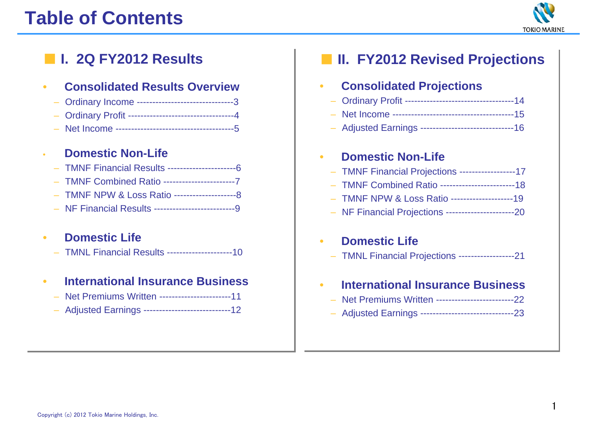# **Table of Contents**



# **I. 2Q FY2012 Results**

#### •**Consolidated Results Overview**

- Ordinary Income -------------------------------3
- Ordinary Profit ----------------------------------4
- Net Income --------------------------------------5

#### •**Domestic Non-Life**

- TMNF Financial Results ----------------------6
- TMNF Combined Ratio -----------------------7
- TMNF NPW & Loss Ratio --------------------8
- NF Financial Results --------------------------9

#### •**Domestic Life**

– TMNL Financial Results ---------------------10

#### •**International Insurance Business**

- Net Premiums Written -----------------------11
- Adjusted Earnings ----------------------------12

# ■ **II. FY2012 Revised Projections**

| <b>Consolidated Projections</b> |
|---------------------------------|

- –Ordinary Profit -----------------------------------14
- Net Income ---------------------------------------15
- Adjusted Earnings ------------------------------16

#### •**Domestic Non-Life**

- TMNF Financial Projections ------------------17
- TMNF Combined Ratio ------------------------18
- –TMNF NPW & Loss Ratio --------------------19
- NF Financial Projections ----------------------20

#### •**Domestic Life**

– TMNL Financial Projections ------------------21

#### •**International Insurance Business**

- $\overline{\phantom{a}}$ Net Premiums Written -------------------------22
- Adjusted Earnings ------------------------------23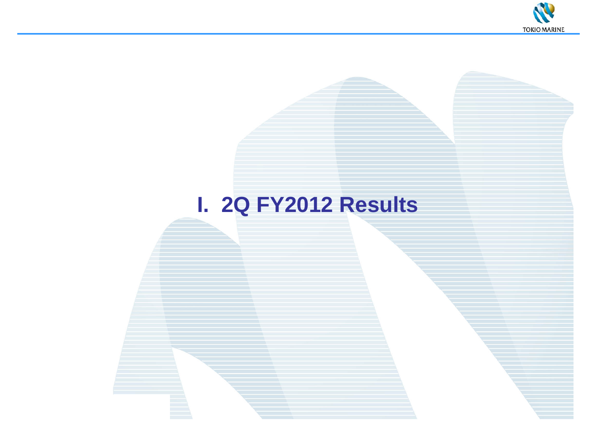

# **I. 2Q FY2012 Results**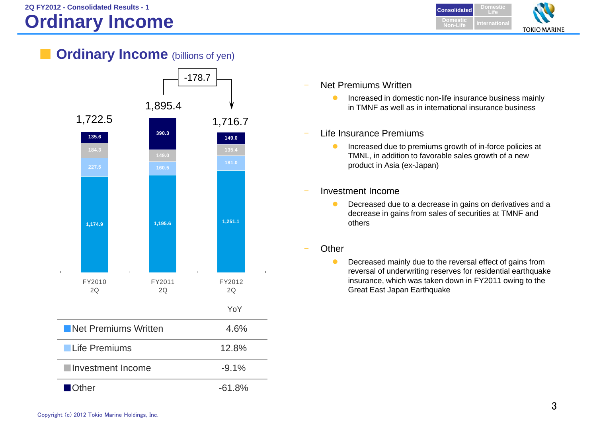

**Ordinary Income** (billions of yen)



- Net Premiums Written
	- $\bullet$  Increased in domestic non-life insurance business mainly in TMNF as well as in international insurance business
- Life Insurance Premiums
	- $\bullet$  Increased due to premiums growth of in-force policies at TMNL, in addition to favorable sales growth of a new product in Asia (ex-Japan)
- Investment Income
	- $\bullet$  Decreased due to a decrease in gains on derivatives and a decrease in gains from sales of securities at TMNF and others
- **Other** 
	- $\bullet$  Decreased mainly due to the reversal effect of gains from reversal of underwriting reserves for residential earthquake insurance, which was taken down in FY2011 owing to the Great East Japan Earthquake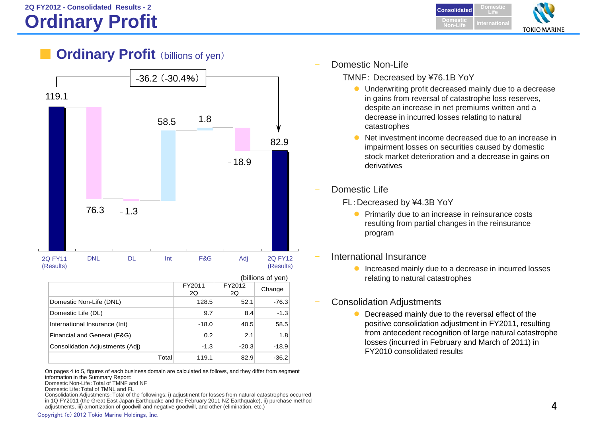**DomesticConsolidatedLifeDomesticInternationalNon-LifeTOKIO MARINE** 

## **Ordinary Profit** (billions of yen)



|                                 |              |              | (billions of yen) |
|---------------------------------|--------------|--------------|-------------------|
|                                 | FY2011<br>2Q | FY2012<br>2Q | Change            |
| Domestic Non-Life (DNL)         | 128.5        | 52.1         | $-76.3$           |
| Domestic Life (DL)              | 9.7          | 8.4          | $-1.3$            |
| International Insurance (Int)   | $-18.0$      | 40.5         | 58.5              |
| Financial and General (F&G)     | 0.2          | 2.1          | 1.8               |
| Consolidation Adjustments (Adj) | $-1.3$       | $-20.3$      | $-18.9$           |
| Total                           | 119.1        | 82.9         | $-36.2$           |

On pages 4 to 5, figures of each business domain are calculated as follows, and they differ from segment information in the Summary Report: Domestic Non-Life:Total of TMNF and NF

Consolidation Adjustments:Total of the followings: i) adjustment for losses from natural catastrophes occurred in 1Q FY2011 (the Great East Japan Earthquake and the February 2011 NZ Earthquake), ii) purchase method adjustments, iii) amortization of goodwill and negative goodwill, and other (elimination, etc.)

Domestic Non-Life

TMNF: Decreased by ¥76.1B YoY

- Underwriting profit decreased mainly due to a decrease in gains from reversal of catastrophe loss reserves, despite an increase in net premiums written and a decrease in incurred losses relating to natural catastrophes
- $\bullet$  Net investment income decreased due to an increase in impairment losses on securities caused by domestic stock market deterioration and a decrease in gains on derivatives
- Domestic Life
	- FL:Decreased by ¥4.3B YoY
		- **•** Primarily due to an increase in reinsurance costs resulting from partial changes in the reinsurance program
- International Insurance
	- **Increased mainly due to a decrease in incurred losses** relating to natural catastrophes
- Consolidation Adjustments
	- $\bullet$  Decreased mainly due to the reversal effect of the positive consolidation adjustment in FY2011, resulting from antecedent recognition of large natural catastrophe losses (incurred in February and March of 2011) in FY2010 consolidated results

Domestic Life:Total of TMNL and FL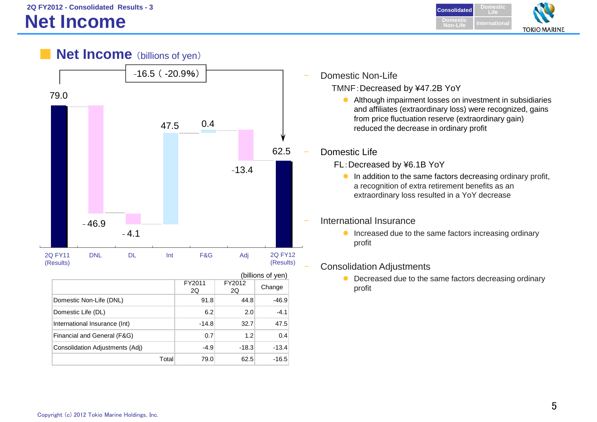**DomesticConsolidated LifeDomesticNon-LifeInternationalTOKIO MARINE** 

## **Net Income** (billions of yen)



|                                 |              |              | (billions of yen) |
|---------------------------------|--------------|--------------|-------------------|
|                                 | FY2011<br>2Q | FY2012<br>2Q | Change            |
| Domestic Non-Life (DNL)         | 91.8         | 44.8         | $-46.9$           |
| Domestic Life (DL)              | 6.2          | 2.0          | $-4.1$            |
| International Insurance (Int)   | $-14.8$      | 32.7         | 47.5              |
| Financial and General (F&G)     | 0.7          | 1.2          | 0.4               |
| Consolidation Adjustments (Adj) | $-4.9$       | $-18.3$      | $-13.4$           |
| Total                           | 79.0         | 62.5         | $-16.5$           |

Domestic Non-Life

TMNF:Decreased by ¥47.2B YoY

 Although impairment losses on investment in subsidiaries and affiliates (extraordinary loss) were recognized, gains from price fluctuation reserve (extraordinary gain) reduced the decrease in ordinary profit

Domestic Life

- FL:Decreased by ¥6.1B YoY
	- **In addition to the same factors decreasing ordinary profit,** a recognition of extra retirement benefits as an extraordinary loss resulted in a YoY decrease

#### International Insurance

**Increased due to the same factors increasing ordinary** profit

#### Consolidation Adjustments

• Decreased due to the same factors decreasing ordinary profit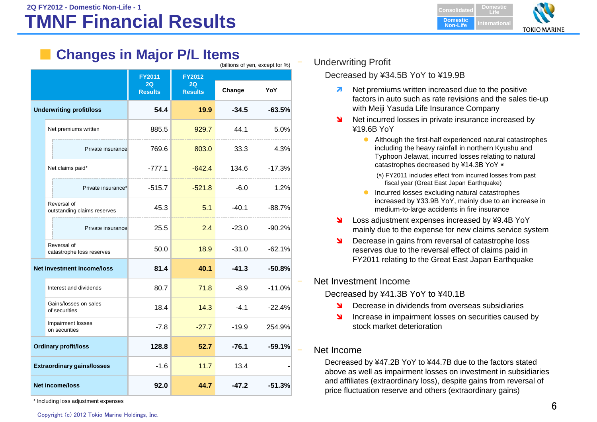### **TMNF Financial ResultsConsolidated Consolidated**

**DomesticLifeDomestic Non-LifeInternationalTOKIO MARINE** 

# **Changes in Major P/L Items**

|                                   | (billions of yen, except for %)            |                                       |                                       |         |          |
|-----------------------------------|--------------------------------------------|---------------------------------------|---------------------------------------|---------|----------|
|                                   |                                            | <b>FY2011</b><br>2Q<br><b>Results</b> | <b>FY2012</b><br>2Q<br><b>Results</b> | Change  | YoY      |
|                                   | <b>Underwriting profit/loss</b>            | 54.4                                  | 19.9                                  | $-34.5$ | $-63.5%$ |
|                                   | Net premiums written                       | 885.5                                 | 929.7                                 | 44.1    | 5.0%     |
|                                   | Private insurance                          | 769.6                                 | 803.0                                 | 33.3    | 4.3%     |
|                                   | Net claims paid*                           | $-777.1$                              | $-642.4$                              | 134.6   | $-17.3%$ |
|                                   | Private insurance*                         | $-515.7$                              | $-521.8$                              | $-6.0$  | 1.2%     |
|                                   | Reversal of<br>outstanding claims reserves | 45.3                                  | 5.1                                   | $-40.1$ | $-88.7%$ |
|                                   | Private insurance                          | 25.5                                  | 2.4                                   | $-23.0$ | $-90.2%$ |
|                                   | Reversal of<br>catastrophe loss reserves   | 50.0                                  | 18.9                                  | $-31.0$ | $-62.1%$ |
|                                   | <b>Net Investment income/loss</b>          | 81.4                                  | 40.1                                  | $-41.3$ | $-50.8%$ |
|                                   | Interest and dividends                     | 80.7                                  | 71.8                                  | $-8.9$  | $-11.0%$ |
|                                   | Gains/losses on sales<br>of securities     | 18.4                                  | 14.3                                  | $-4.1$  | $-22.4%$ |
|                                   | Impairment losses<br>on securities         | $-7.8$                                | $-27.7$                               | $-19.9$ | 254.9%   |
| <b>Ordinary profit/loss</b>       |                                            | 128.8                                 | 52.7                                  | $-76.1$ | $-59.1%$ |
| <b>Extraordinary gains/losses</b> |                                            | $-1.6$                                | 11.7                                  | 13.4    |          |
|                                   | <b>Net income/loss</b>                     | 92.0                                  | 44.7                                  | $-47.2$ | $-51.3%$ |

\* Including loss adjustment expenses

#### Underwriting Profit

#### Decreased by ¥34.5B YoY to ¥19.9B

- 7 Net premiums written increased due to the positive factors in auto such as rate revisions and the sales tie-up with Meiji Yasuda Life Insurance Company
- N Net incurred losses in private insurance increased by ¥19.6B YoY
	- Although the first-half experienced natural catastrophes including the heavy rainfall in northern Kyushu and Typhoon Jelawat, incurred losses relating to natural catastrophes decreased by ¥14.3B YoY ※
		- (※) FY2011 includes effect from incurred losses from past fiscal year (Great East Japan Earthquake)
	- **Incurred losses excluding natural catastrophes** increased by ¥33.9B YoY, mainly due to an increase in medium-to-large accidents in fire insurance
- N Loss adjustment expenses increased by ¥9.4B YoY mainly due to the expense for new claims service system
- N Decrease in gains from reversal of catastrophe loss reserves due to the reversal effect of claims paid in FY2011 relating to the Great East Japan Earthquake

#### Net Investment Income

Decreased by ¥41.3B YoY to ¥40.1B

- ۷ Decrease in dividends from overseas subsidiaries
- N Increase in impairment losses on securities caused by stock market deterioration

#### Net Income

Decreased by ¥47.2B YoY to ¥44.7B due to the factors stated above as well as impairment losses on investment in subsidiaries and affiliates (extraordinary loss), despite gains from reversal of price fluctuation reserve and others (extraordinary gains)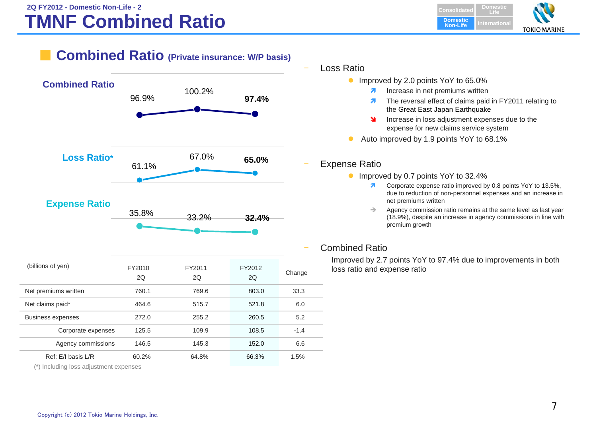#### **TMNF Combined Ratio 2Q FY2012 - Domestic Non-Life - 2Consolidated Consolidated**

**DomesticLifeDomestic Non-LifeInternationalTOKIO MARINE** 

## **Combined Ratio (Private insurance: W/P basis)**



#### **Expense Ratio**



| (billions of yen)    | FY2010<br>2Q | FY2011<br>2Q | FY2012<br>20 | Change |
|----------------------|--------------|--------------|--------------|--------|
| Net premiums written | 760.1        | 769.6        | 803.0        | 33.3   |
| Net claims paid*     | 464.6        | 515.7        | 521.8        | 6.0    |
| Business expenses    | 272.0        | 255.2        | 260.5        | 5.2    |
| Corporate expenses   | 125.5        | 109.9        | 108.5        | $-1.4$ |
| Agency commissions   | 146.5        | 145.3        | 152.0        | 6.6    |
| Ref: E/I basis L/R   | 60.2%        | 64.8%        | 66.3%        | 1.5%   |

(\*) Including loss adjustment expenses

- Loss Ratio
	- Improved by 2.0 points YoY to 65.0%
		- $\overline{\mathbf{z}}$ Increase in net premiums written
		- $\overline{\mathbf{z}}$  The reversal effect of claims paid in FY2011 relating to the Great East Japan Earthquake
		- ¥ Increase in loss adjustment expenses due to the expense for new claims service system
	- $\bullet$ Auto improved by 1.9 points YoY to 68.1%

#### Expense Ratio

- **Improved by 0.7 points YoY to 32.4%** 
	- $\overline{\mathbf{z}}$  Corporate expense ratio improved by 0.8 points YoY to 13.5%, due to reduction of non-personnel expenses and an increase in net premiums written
	- $\rightarrow$  Agency commission ratio remains at the same level as last year (18.9%), despite an increase in agency commissions in line with premium growth

#### Combined Ratio

Improved by 2.7 points YoY to 97.4% due to improvements in both loss ratio and expense ratio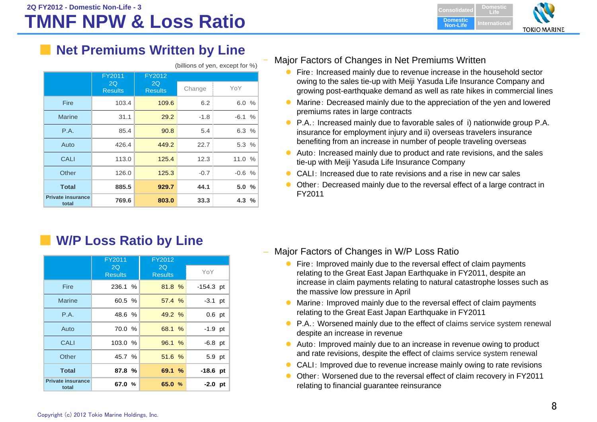

## ■ Net Premiums Written by Line

|                                   | <b>FY2011</b>        | FY2012               |        |         |
|-----------------------------------|----------------------|----------------------|--------|---------|
|                                   | 2Q<br><b>Results</b> | 2Q<br><b>Results</b> | Change | YoY     |
| <b>Fire</b>                       | 103.4                | 109.6                | 6.2    | 6.0%    |
| <b>Marine</b>                     | 31.1                 | 29.2                 | $-1.8$ | $-6.1%$ |
| <b>P.A.</b>                       | 85.4                 | 90.8                 | 5.4    | 6.3 %   |
| Auto                              | 426.4                | 449.2                | 22.7   | 5.3%    |
| <b>CALI</b>                       | 113.0                | 125.4                | 12.3   | 11.0%   |
| Other                             | 126.0                | 125.3                | $-0.7$ | $-0.6%$ |
| <b>Total</b>                      | 885.5                | 929.7                | 44.1   | 5.0%    |
| <b>Private insurance</b><br>total | 769.6                | 803.0                | 33.3   | 4.3%    |

#### (billions of yen, except for %)

#### Major Factors of Changes in Net Premiums Written

- **•** Fire: Increased mainly due to revenue increase in the household sector owing to the sales tie-up with Meiji Yasuda Life Insurance Company and growing post-earthquake demand as well as rate hikes in commercial lines
- $\bullet$  Marine: Decreased mainly due to the appreciation of the yen and lowered premiums rates in large contracts
- P.A.: Increased mainly due to favorable sales of i) nationwide group P.A. insurance for employment injury and ii) overseas travelers insurance benefiting from an increase in number of people traveling overseas
- Auto: Increased mainly due to product and rate revisions, and the sales tie-up with Meiji Yasuda Life Insurance Company
- CALI: Increased due to rate revisions and a rise in new car sales
- Other: Decreased mainly due to the reversal effect of a large contract in FY2011

■ **W/P Loss Ratio by Line** 

|                                   | FY2011               | FY2012               |             |
|-----------------------------------|----------------------|----------------------|-------------|
|                                   | 2Q<br><b>Results</b> | 2Q<br><b>Results</b> | YoY         |
| Fire                              | 236.1 %              | 81.8%                | $-154.3$ pt |
| <b>Marine</b>                     | 60.5 %               | 57.4%                | $-3.1$ pt   |
| <b>P.A.</b>                       | 48.6 %               | 49.2%                | $0.6$ pt    |
| Auto                              | 70.0 %               | 68.1 %               | $-1.9$ pt   |
| <b>CALI</b>                       | 103.0%               | 96.1%                | $-6.8$ pt   |
| Other                             | 45.7 %               | 51.6%                | 5.9 pt      |
| <b>Total</b>                      | 87.8%                | 69.1%                | $-18.6$ pt  |
| <b>Private insurance</b><br>total | 67.0 %               | 65.0%                | $-2.0$ pt   |

- Major Factors of Changes in W/P Loss Ratio
	- Fire: Improved mainly due to the reversal effect of claim payments relating to the Great East Japan Earthquake in FY2011, despite an increase in claim payments relating to natural catastrophe losses such as the massive low pressure in April
	- $\bullet$  Marine: Improved mainly due to the reversal effect of claim payments relating to the Great East Japan Earthquake in FY2011
	- **P.A.: Worsened mainly due to the effect of claims service system renewal** despite an increase in revenue
	- Auto: Improved mainly due to an increase in revenue owing to product and rate revisions, despite the effect of claims service system renewal
	- CALI: Improved due to revenue increase mainly owing to rate revisions
	- $\bullet$  Other: Worsened due to the reversal effect of claim recovery in FY2011 relating to financial guarantee reinsurance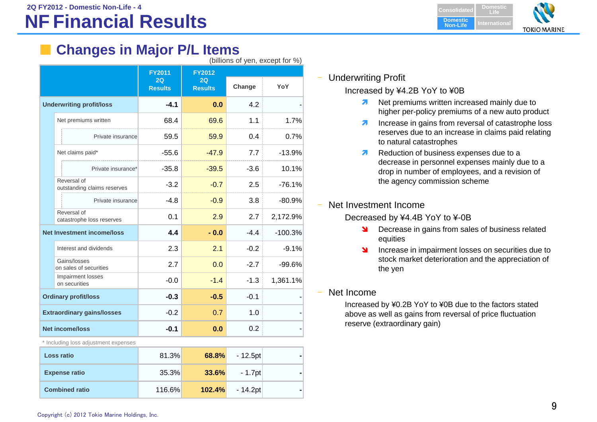# **2Q FY2012 - Domestic Non-Life - 4**

# **NF Financial Results**

**Domestic ConsolidatedLifeDomestic Non-LifeInternationalTOKIO MARINE** 

# **Changes in Major P/L Items**

| (billions of yen, except for %) |  |
|---------------------------------|--|
|---------------------------------|--|

|  |                                            | <b>FY2011</b>        | <b>FY2012</b>        |        |           |
|--|--------------------------------------------|----------------------|----------------------|--------|-----------|
|  |                                            | 2Q<br><b>Results</b> | 2Q<br><b>Results</b> | Change | YoY       |
|  | <b>Underwriting profit/loss</b>            | $-4.1$               | 0.0                  | 4.2    |           |
|  | Net premiums written                       | 68.4                 | 69.6                 | 1.1    | 1.7%      |
|  | Private insurance                          | 59.5                 | 59.9                 | 0.4    | 0.7%      |
|  | Net claims paid*                           | $-55.6$              | $-47.9$              | 7.7    | $-13.9%$  |
|  | Private insurance*                         | $-35.8$              | $-39.5$              | $-3.6$ | 10.1%     |
|  | Reversal of<br>outstanding claims reserves | $-3.2$               | $-0.7$               | 2.5    | $-76.1%$  |
|  | Private insurance                          | $-4.8$               | $-0.9$               | 3.8    | $-80.9%$  |
|  | Reversal of<br>catastrophe loss reserves   | 0.1                  | 2.9                  | 2.7    | 2,172.9%  |
|  | <b>Net Investment income/loss</b>          | 4.4                  | $-0.0$               | $-4.4$ | $-100.3%$ |
|  | Interest and dividends                     | 2.3                  | 2.1                  | $-0.2$ | $-9.1%$   |
|  | Gains/losses<br>on sales of securities     | 2.7                  | 0.0                  | $-2.7$ | $-99.6%$  |
|  | Impairment losses<br>on securities         | $-0.0$               | $-1.4$               | $-1.3$ | 1,361.1%  |
|  | <b>Ordinary profit/loss</b>                | $-0.3$               | $-0.5$               | $-0.1$ |           |
|  | <b>Extraordinary gains/losses</b>          | $-0.2$               | 0.7                  | 1.0    |           |
|  | <b>Net income/loss</b>                     | $-0.1$               | 0.0                  | 0.2    |           |

\* Including loss adjustment expenses

| <b>Loss ratio</b>     | 81.3%  | 68.8%  | - 12.5pt  |  |
|-----------------------|--------|--------|-----------|--|
| <b>Expense ratio</b>  | 35.3%  | 33.6%  | - 1.7ptl  |  |
| <b>Combined ratio</b> | 116.6% | 102.4% | - 14.2ptl |  |

#### Underwriting Profit

Increased by ¥4.2B YoY to ¥0B

- **Net premiums written increased mainly due to** higher per-policy premiums of a new auto product
- $\overline{\phantom{a}}$  Increase in gains from reversal of catastrophe loss reserves due to an increase in claims paid relating to natural catastrophes
- 21 Reduction of business expenses due to a decrease in personnel expenses mainly due to a drop in number of employees, and a revision of the agency commission scheme
- Net Investment Income

Decreased by ¥4.4B YoY to ¥-0B

- **N** Decrease in gains from sales of business related equities
- **N**  Increase in impairment losses on securities due to stock market deterioration and the appreciation of the yen
- Net Income

Increased by ¥0.2B YoY to ¥0B due to the factors stated above as well as gains from reversal of price fluctuation reserve (extraordinary gain)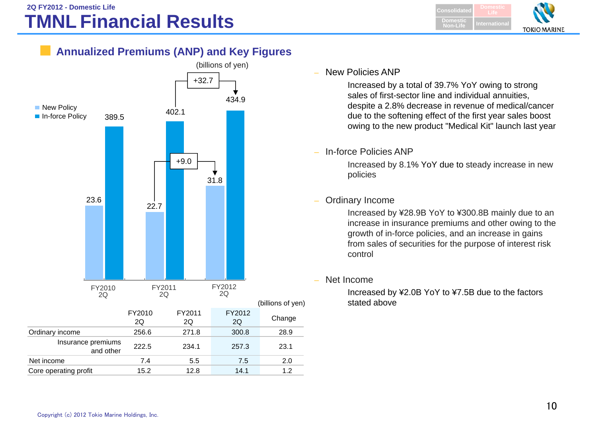**DomesticConsolidatedLifeDomestic Non-Life InternationalTOKIO MARINE** 

## **Annualized Premiums (ANP) and Key Figures**



#### –New Policies ANP

Increased by a total of 39.7% YoY owing to strong sales of first-sector line and individual annuities, despite a 2.8% decrease in revenue of medical/cancer due to the softening effect of the first year sales boost owing to the new product "Medical Kit" launch last year

–In-force Policies ANP

> Increased by 8.1% YoY due to steady increase in new policies

#### –Ordinary Income

Increased by ¥28.9B YoY to ¥300.8B mainly due to an increase in insurance premiums and other owing to the growth of in-force policies, and an increase in gains from sales of securities for the purpose of interest risk control

Net Income

Increased by ¥2.0B YoY to ¥7.5B due to the factors stated above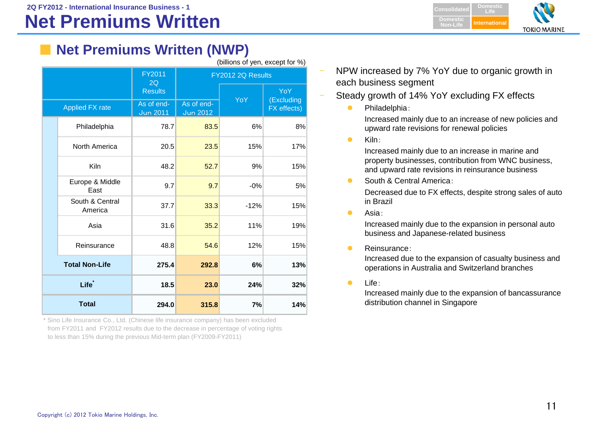**2Q FY2012 - International Insurance Business - 1**

# **Net Premiums Written**

**Domestic LifeConsolidate Domestic Non-LifeInternational TOKIO MARINE** 

# ■ **Net Premiums Written (NWP)**

|  | (billions of yen, except for %) |  |
|--|---------------------------------|--|

|                       |                                      | FY2011<br>2Q                  |                               | FY2012 2Q Results |                   |
|-----------------------|--------------------------------------|-------------------------------|-------------------------------|-------------------|-------------------|
|                       |                                      | <b>Results</b>                |                               | YoY               | YoY<br>(Excluding |
|                       | <b>Applied FX rate</b>               | As of end-<br><b>Jun 2011</b> | As of end-<br><b>Jun 2012</b> |                   | FX effects)       |
|                       | Philadelphia                         | 78.7                          | 83.5                          | 6%                | 8%                |
|                       | North America                        | 20.5                          | 23.5                          | 15%               | 17%               |
|                       | Kiln                                 | 48.2                          | 52.7                          | 9%                | 15%               |
|                       | Europe & Middle<br>East              | 9.7                           | 9.7                           | $-0\%$            | 5%                |
|                       | South & Central<br>America           | 37.7                          | 33.3                          | $-12%$            | 15%               |
|                       | Asia                                 | 31.6                          | 35.2                          | 11%               | 19%               |
|                       | Reinsurance                          | 48.8                          | 54.6                          | 12%               | 15%               |
| <b>Total Non-Life</b> |                                      | 275.4                         | 292.8                         | 6%                | 13%               |
|                       | Life <sup>*</sup>                    | 18.5                          | 23.0                          | 24%               | 32%               |
|                       | <b>Total</b><br>294.0<br>315.8<br>7% |                               | 14%                           |                   |                   |

\* Sino Life Insurance Co., Ltd. (Chinese life insurance company) has been excluded from FY2011 and FY2012 results due to the decrease in percentage of voting rights to less than 15% during the previous Mid-term plan (FY2009-FY2011)

- NPW increased by 7% YoY due to organic growth in each business segment
- Steady growth of 14% YoY excluding FX effects
	- $\bullet$ Philadelphia:

Increased mainly due to an increase of new policies and upward rate revisions for renewal policies

 $\bullet$ Kiln:

> Increased mainly due to an increase in marine and property businesses, contribution from WNC business, and upward rate revisions in reinsurance business

 $\bullet$ South & Central America:

> Decreased due to FX effects, despite strong sales of auto in Brazil

 $\bullet$ Asia:

> Increased mainly due to the expansion in personal auto business and Japanese-related business

 $\bullet$ Reinsurance:

Increased due to the expansion of casualty business and operations in Australia and Switzerland branches

 $\bullet$ Life:

> Increased mainly due to the expansion of bancassurance distribution channel in Singapore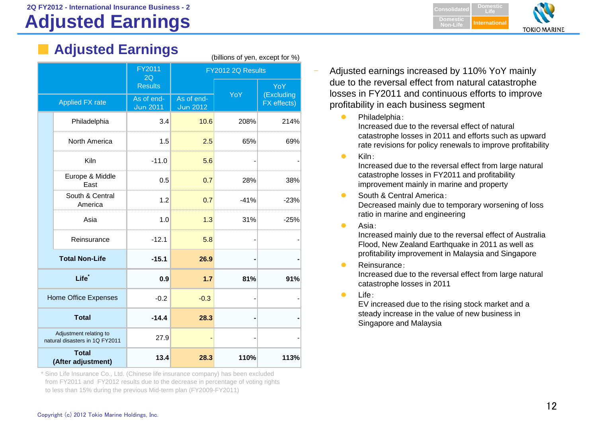# **Adjusted Earnings**

| Adjusted Earnings |        |  |
|-------------------|--------|--|
|                   | FY2011 |  |

|              |                                                          | FY2011<br>2Q                  | FY2012 2Q Results             |        |                          |
|--------------|----------------------------------------------------------|-------------------------------|-------------------------------|--------|--------------------------|
|              |                                                          | <b>Results</b>                |                               | YoY    | <b>YoY</b><br>(Excluding |
|              | <b>Applied FX rate</b>                                   | As of end-<br><b>Jun 2011</b> | As of end-<br><b>Jun 2012</b> |        | FX effects)              |
|              | Philadelphia                                             | 3.4                           | 10.6                          | 208%   | 214%                     |
|              | North America                                            | 1.5                           | 2.5                           | 65%    | 69%                      |
|              | Kiln                                                     | $-11.0$                       | 5.6                           |        |                          |
|              | Europe & Middle<br>East                                  | 0.5                           | 0.7                           | 28%    | 38%                      |
|              | South & Central<br>America                               | 1.2                           | 0.7                           | $-41%$ | $-23%$                   |
|              | Asia                                                     | 1.0                           | 1.3                           | 31%    | $-25%$                   |
|              | Reinsurance                                              | $-12.1$                       | 5.8                           |        |                          |
|              | <b>Total Non-Life</b>                                    | $-15.1$                       | 26.9                          |        |                          |
|              | Life <sup>*</sup>                                        | 0.9                           | 1.7                           | 81%    | 91%                      |
|              | Home Office Expenses                                     | $-0.2$                        | $-0.3$                        |        |                          |
| <b>Total</b> |                                                          | $-14.4$                       | 28.3                          |        |                          |
|              | Adjustment relating to<br>natural disasters in 1Q FY2011 | 27.9                          |                               |        |                          |
|              | <b>Total</b><br>(After adjustment)                       | 13.4                          | 28.3                          | 110%   | 113%                     |

(billions of yen, except for %)

\* Sino Life Insurance Co., Ltd. (Chinese life insurance company) has been excluded from FY2011 and FY2012 results due to the decrease in percentage of voting rights to less than 15% during the previous Mid-term plan (FY2009-FY2011)



- Adjusted earnings increased by 110% YoY mainly due to the reversal effect from natural catastrophe losses in FY2011 and continuous efforts to improve profitability in each business segment
	- $\bullet$ Philadelphia:

Increased due to the reversal effect of natural catastrophe losses in 2011 and efforts such as upward rate revisions for policy renewals to improve profitability

 $\bullet$ Kiln:

> Increased due to the reversal effect from large natural catastrophe losses in FY2011 and profitability improvement mainly in marine and property

- $\bullet$  South & Central America: Decreased mainly due to temporary worsening of loss ratio in marine and engineering
- $\bullet$ Asia:

Increased mainly due to the reversal effect of Australia Flood, New Zealand Earthquake in 2011 as well as profitability improvement in Malaysia and Singapore

 $\bullet$ Reinsurance:

Increased due to the reversal effect from large natural catastrophe losses in 2011

 $\bullet$ Life:

EV increased due to the rising stock market and a steady increase in the value of new business in Singapore and Malaysia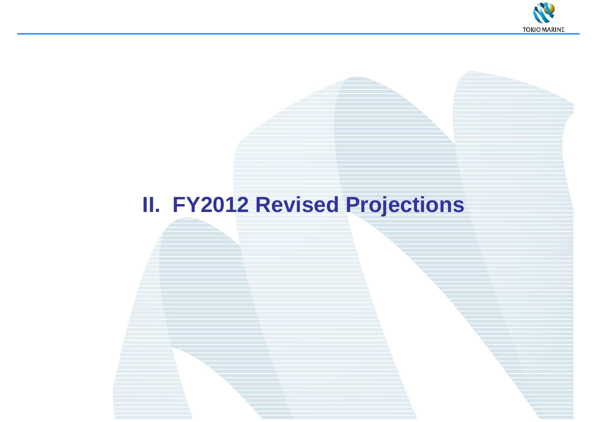

# **II. FY2012 Revised Projections**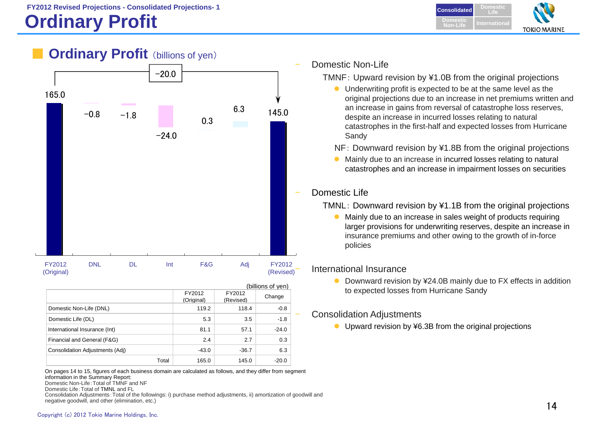# **Ordinary Profit International International**



## **Ordinary Profit** (billions of yen)



|                                 |                      |                     | (billions of yen) |
|---------------------------------|----------------------|---------------------|-------------------|
|                                 | FY2012<br>(Original) | FY2012<br>(Revised) | Change            |
| Domestic Non-Life (DNL)         | 119.2                | 118.4               | $-0.8$            |
| Domestic Life (DL)              | 5.3                  | 3.5                 | $-1.8$            |
| International Insurance (Int)   | 81.1                 | 57.1                | $-24.0$           |
| Financial and General (F&G)     | 2.4                  | 2.7                 | 0.3               |
| Consolidation Adjustments (Adj) | $-43.0$              | $-36.7$             | 6.3               |
| Total                           | 165.0                | 145.0               | $-20.0$           |

On pages 14 to 15, figures of each business domain are calculated as follows, and they differ from segment information in the Summary Report: Domestic Non-Life:Total of TMNF and NFDomestic Life:Total of TMNL and FL Consolidation Adjustments:Total of the followings: i) purchase method adjustments, ii) amortization of goodwill and

negative goodwill, and other (elimination, etc.)

#### Domestic Non-Life

TMNF: Upward revision by ¥1.0B from the original projections

- Underwriting profit is expected to be at the same level as the original projections due to an increase in net premiums written and an increase in gains from reversal of catastrophe loss reserves, despite an increase in incurred losses relating to natural catastrophes in the first-half and expected losses from Hurricane Sandy
- NF: Downward revision by ¥1.8B from the original projections
- Mainly due to an increase in incurred losses relating to natural catastrophes and an increase in impairment losses on securities

#### Domestic Life

TMNL: Downward revision by ¥1.1B from the original projections

• Mainly due to an increase in sales weight of products requiring larger provisions for underwriting reserves, despite an increase in insurance premiums and other owing to the growth of in-force policies

#### International Insurance

● Downward revision by ¥24.0B mainly due to FX effects in addition to expected losses from Hurricane Sandy

#### Consolidation Adjustments

● Upward revision by ¥6.3B from the original projections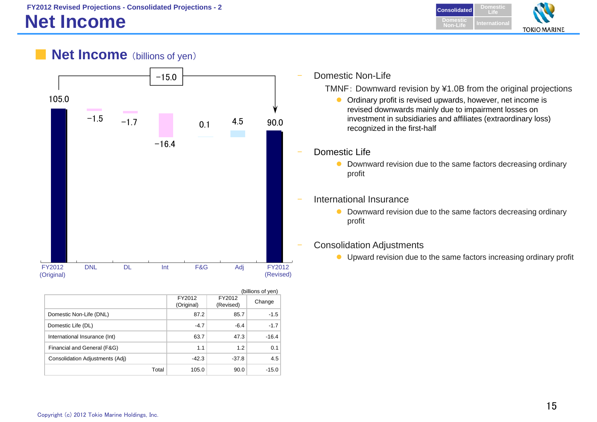# **Net Income**

**DomesticConsolidated LifeDomesticNon-LifeInternationalTOKIO MARINE** 





|                                 |                      |                     | (billions of yen) |
|---------------------------------|----------------------|---------------------|-------------------|
|                                 | FY2012<br>(Original) | FY2012<br>(Revised) | Change            |
| Domestic Non-Life (DNL)         | 87.2                 | 85.7                | $-1.5$            |
| Domestic Life (DL)              | $-4.7$               | $-6.4$              | $-1.7$            |
| International Insurance (Int)   | 63.7                 | 47.3                | $-16.4$           |
| Financial and General (F&G)     | 1.1                  | 1.2                 | 0.1               |
| Consolidation Adjustments (Adj) | $-42.3$              | $-37.8$             | 4.5               |
| Total                           | 105.0                | 90.0                | $-15.0$           |

Domestic Non-Life

TMNF: Downward revision by ¥1.0B from the original projections

- Ordinary profit is revised upwards, however, net income is revised downwards mainly due to impairment losses on investment in subsidiaries and affiliates (extraordinary loss) recognized in the first-half
- Downward revision due to the same factors decreasing ordinary
- International Insurance
	- Downward revision due to the same factors decreasing ordinary
- Consolidation Adjustments
	- Upward revision due to the same factors increasing ordinary profit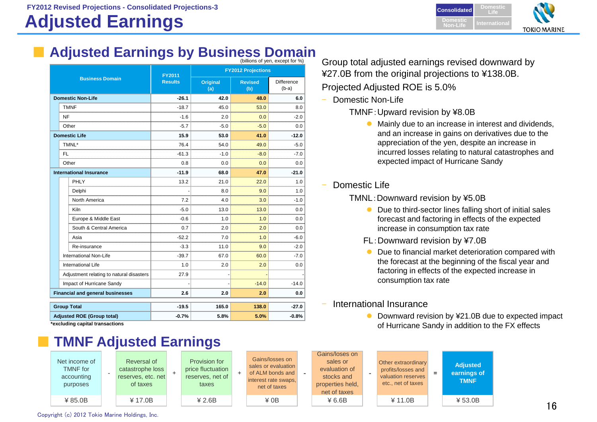# **Adjusted Earnings**



# **Adjusted Earnings by Business Domain**<br>Group total adjusted earnings revised downward by

|                        | (billions of yen, except for %)          |                |                        |                           |                              |  |  |  |
|------------------------|------------------------------------------|----------------|------------------------|---------------------------|------------------------------|--|--|--|
| <b>Business Domain</b> |                                          | FY2011         |                        | <b>FY2012 Projections</b> |                              |  |  |  |
|                        |                                          | <b>Results</b> | <b>Original</b><br>(a) | <b>Revised</b><br>(b)     | <b>Difference</b><br>$(b-a)$ |  |  |  |
|                        | <b>Domestic Non-Life</b>                 | $-26.1$        | 42.0                   | 48.0                      | 6.0                          |  |  |  |
|                        | <b>TMNF</b>                              | $-18.7$        | 45.0                   | 53.0                      | 8.0                          |  |  |  |
|                        | NF                                       | $-1.6$         | 2.0                    | 0.0                       | $-2.0$                       |  |  |  |
|                        | Other                                    | $-5.7$         | $-5.0$                 | $-5.0$                    | 0.0                          |  |  |  |
|                        | <b>Domestic Life</b>                     | 15.9           | 53.0                   | 41.0                      | $-12.0$                      |  |  |  |
|                        | TMNL*                                    | 76.4           | 54.0                   | 49.0                      | $-5.0$                       |  |  |  |
|                        | FL.<br>                                  | -61.3          | -1.0                   | -8.0                      | $-7.0$<br>                   |  |  |  |
|                        | Other                                    | 0.8            | 0.0                    | 0.0                       | 0.0                          |  |  |  |
|                        | <b>International Insurance</b>           | $-11.9$        | 68.0                   | 47.0                      | $-21.0$                      |  |  |  |
|                        | PHLY                                     | 13.2           | 21.0                   | 22.0                      | 1.0                          |  |  |  |
|                        | Delphi                                   |                | 8.0                    | 9.0                       | 1.0                          |  |  |  |
|                        | North America                            | 7.2            | 4.0                    | 3.0                       | $-1.0$                       |  |  |  |
|                        | Kiln                                     | $-5.0$         | 13.0                   | 13.0                      | 0.0                          |  |  |  |
|                        | Europe & Middle East                     | $-0.6$         | 1.0                    | 1.0                       | 0.0                          |  |  |  |
|                        | South & Central America                  | 0.7            | 2.0<br>                | 2.0<br>                   | 0.0<br>                      |  |  |  |
|                        | Asia                                     | $-52.2$        | 7.0                    | 1.0                       | -6.0                         |  |  |  |
|                        | Re-insurance                             | $-3.3$         | 11.0                   | 9.0                       | $-2.0$                       |  |  |  |
|                        | International Non-Life                   | $-39.7$        | 67.0                   | 60.0                      | $-7.0$                       |  |  |  |
|                        | International Life                       | 1.0            | 2.0                    | 2.0                       | 0.0                          |  |  |  |
|                        | Adjustment relating to natural disasters | 27.9           |                        |                           |                              |  |  |  |
|                        | Impact of Hurricane Sandy                |                |                        | $-14.0$                   | $-14.0$                      |  |  |  |
|                        | <b>Financial and general businesses</b>  | 2.6            | 2.0                    | 2.0                       | 0.0                          |  |  |  |
|                        | <b>Group Total</b>                       | $-19.5$        | 165.0                  | 138.0                     | $-27.0$                      |  |  |  |
|                        | <b>Adjusted ROE (Group total)</b>        | $-0.7%$        | 5.8%                   | 5.0%                      | $-0.8%$                      |  |  |  |
|                        | aveluding capital transactions*          |                |                        |                           |                              |  |  |  |

**\*excluding capital transactions**

TMNF for accounting purposes

# **TMNF Adjusted Earnings**



¥27.0B from the original projections to ¥138.0B. Projected Adjusted ROE is 5.0%

- Domestic Non-Life
	- TMNF:Upward revision by ¥8.0B
		- Mainly due to an increase in interest and dividends, and an increase in gains on derivatives due to the appreciation of the yen, despite an increase in incurred losses relating to natural catastrophes and expected impact of Hurricane Sandy
- Domestic Life

#### TMNL:Downward revision by ¥5.0B

- Due to third-sector lines falling short of initial sales forecast and factoring in effects of the expected increase in consumption tax rate
- FL:Downward revision by ¥7.0B
- $\bullet$  Due to financial market deterioration compared with the forecast at the beginning of the fiscal year and factoring in effects of the expected increase in consumption tax rate
- International Insurance
	- Downward revision by ¥21.0B due to expected impact of Hurricane Sandy in addition to the FX effects



Copyright (c) 2012 Tokio Marine Holdings, Inc.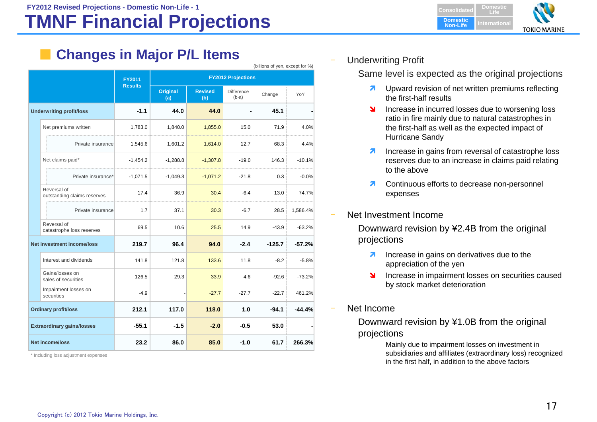# **TMNF Financial Projections**

**Changes in Major P/L Items** 

|                                 |                                            |                |                 |                           |                              | (billions of yen, except for %) |          |
|---------------------------------|--------------------------------------------|----------------|-----------------|---------------------------|------------------------------|---------------------------------|----------|
|                                 |                                            | <b>FY2011</b>  |                 | <b>FY2012 Projections</b> |                              |                                 |          |
|                                 |                                            | <b>Results</b> | Original<br>(a) | <b>Revised</b><br>(b)     | <b>Difference</b><br>$(b-a)$ | Change                          | YoY      |
| <b>Underwriting profit/loss</b> |                                            | $-1.1$         | 44.0            | 44.0                      |                              | 45.1                            |          |
|                                 | Net premiums written                       | 1,783.0        | 1,840.0         | 1,855.0                   | 15.0                         | 71.9                            | 4.0%     |
|                                 | Private insurance                          | 1,545.6        | 1,601.2         | 1,614.0                   | 12.7                         | 68.3                            | 4.4%     |
|                                 | Net claims paid*                           | $-1,454.2$     | $-1,288.8$      | $-1,307.8$                | $-19.0$                      | 146.3                           | $-10.1%$ |
|                                 | Private insurance*                         | $-1,071.5$     | $-1,049.3$      | $-1,071.2$                | $-21.8$                      | 0.3                             | $-0.0%$  |
|                                 | Reversal of<br>outstanding claims reserves | 17.4           | 36.9            | 30.4                      | $-6.4$                       | 13.0                            | 74.7%    |
|                                 | Private insurance                          | 1.7            | 37.1            | 30.3                      | $-6.7$                       | 28.5                            | 1,586.4% |
|                                 | Reversal of<br>catastrophe loss reserves   | 69.5           | 10.6            | 25.5                      | 14.9                         | $-43.9$                         | $-63.2%$ |
|                                 | <b>Net investment income/loss</b>          | 219.7          | 96.4            | 94.0                      | $-2.4$                       | $-125.7$                        | $-57.2%$ |
|                                 | Interest and dividends                     | 141.8          | 121.8           | 133.6                     | 11.8                         | $-8.2$                          | $-5.8%$  |
|                                 | Gains/losses on<br>sales of securities     | 126.5          | 29.3            | 33.9                      | 4.6                          | $-92.6$                         | $-73.2%$ |
|                                 | Impairment losses on<br>securities         | $-4.9$         |                 | $-27.7$                   | $-27.7$                      | $-22.7$                         | 461.2%   |
|                                 | <b>Ordinary profit/loss</b>                | 212.1          | 117.0           | 118.0                     | 1.0                          | $-94.1$                         | $-44.4%$ |
|                                 | <b>Extraordinary gains/losses</b>          | $-55.1$        | $-1.5$          | $-2.0$                    | $-0.5$                       | 53.0                            |          |
|                                 | <b>Net income/loss</b>                     | 23.2           | 86.0            | 85.0<br>61.7<br>$-1.0$    |                              |                                 | 266.3%   |

\* Including loss adjustment expenses



Underwriting Profit

Same level is expected as the original projections

- 7 Upward revision of net written premiums reflecting the first-half results
- N Increase in incurred losses due to worsening loss ratio in fire mainly due to natural catastrophes in the first-half as well as the expected impact of Hurricane Sandy
- $\overline{\mathbf{z}}$  Increase in gains from reversal of catastrophe loss reserves due to an increase in claims paid relating to the above
- $\overline{\phantom{a}}$  Continuous efforts to decrease non-personnel expenses
- Net Investment Income

Downward revision by ¥2.4B from the original projections

- 7 Increase in gains on derivatives due to the appreciation of the yen
- $\blacktriangleright$  Increase in impairment losses on securities caused by stock market deterioration
- Net Income

Downward revision by ¥1.0B from the original projections

> Mainly due to impairment losses on investment in subsidiaries and affiliates (extraordinary loss) recognized in the first half, in addition to the above factors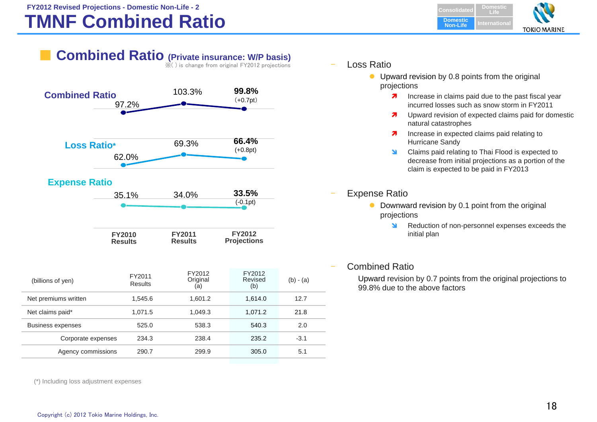#### **FY2012 Revised Projections - Domestic Non-Life - 2 Consolidated by a strategies of the Consolidate of Consolidate**

# **TMNF Combined Ratio**

**DomesticLifeDomestic Non-LifeInternationalTOKIO MARINE** 

# **Combined Ratio (Private insurance: W/P basis)**

※( ) is change from original FY2012 projections



#### **Expense Ratio**



| <b>FY2010</b>  | <b>FY2011</b>  | <b>FY2012</b>      |
|----------------|----------------|--------------------|
| <b>Results</b> | <b>Results</b> | <b>Projections</b> |

| (billions of yen)        | FY2011<br><b>Results</b> | FY2012<br>Original<br>(a) | FY2012<br>Revised<br>(b) | $(b) - (a)$ |
|--------------------------|--------------------------|---------------------------|--------------------------|-------------|
| Net premiums written     | 1.545.6                  | 1.601.2                   | 1.614.0                  | 12.7        |
| Net claims paid*         | 1.071.5                  | 1.049.3                   | 1,071.2                  | 21.8        |
| <b>Business expenses</b> | 525.0                    | 538.3                     | 540.3                    | 2.0         |
| Corporate expenses       | 234.3                    | 238.4                     | 235.2                    | $-3.1$      |
| Agency commissions       | 290.7                    | 299.9                     | 305.0                    | 5.1         |

Loss Ratio

- Upward revision by 0.8 points from the original projections
	- **7** Increase in claims paid due to the past fiscal year incurred losses such as snow storm in FY2011
	- $\overline{\mathbf{z}}$  Upward revision of expected claims paid for domestic natural catastrophes
	- $\overline{\phantom{a}}$  Increase in expected claims paid relating to Hurricane Sandy
	- **N**  Claims paid relating to Thai Flood is expected to decrease from initial projections as a portion of the claim is expected to be paid in FY2013

#### Expense Ratio

- $\bullet$  Downward revision by 0.1 point from the original projections
	- **N** Reduction of non-personnel expenses exceeds the initial plan

#### Combined Ratio

Upward revision by 0.7 points from the original projections to 99.8% due to the above factors

(\*) Including loss adjustment expenses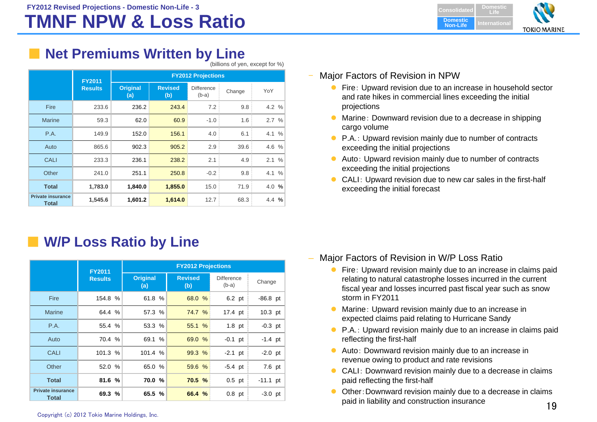# **TMNF NPW & Loss Ratio**

**DomesticLifeDomestic Non-LifeI**ternationa **TOKIO MARINE** 

# **Net Premiums Written by Line**

(billions of yen, except for %)

|                                   | <b>FY2011</b>  | <b>FY2012 Projections</b> |                       |                              |        |       |  |
|-----------------------------------|----------------|---------------------------|-----------------------|------------------------------|--------|-------|--|
|                                   | <b>Results</b> | <b>Original</b><br>(a)    | <b>Revised</b><br>(b) | <b>Difference</b><br>$(b-a)$ | Change | YoY   |  |
| Fire                              | 233.6          | 236.2                     | 243.4                 | 7.2                          | 9.8    | 4.2 % |  |
| <b>Marine</b>                     | 59.3           | 62.0                      | 60.9                  | $-1.0$                       | 1.6    | 2.7%  |  |
| P.A.                              | 149.9          | 152.0                     | 156.1                 | 4.0                          | 6.1    | 4.1 % |  |
| Auto                              | 865.6          | 902.3                     | 905.2                 | 2.9                          | 39.6   | 4.6 % |  |
| <b>CALI</b>                       | 233.3          | 236.1                     | 238.2                 | 2.1                          | 4.9    | 2.1%  |  |
| Other                             | 241.0          | 251.1                     | 250.8                 | $-0.2$                       | 9.8    | 4.1 % |  |
| <b>Total</b>                      | 1,783.0        | 1,840.0                   | 1,855.0               | 15.0                         | 71.9   | 4.0%  |  |
| <b>Private insurance</b><br>Total | 1,545.6        | 1,601.2                   | 1,614.0               | 12.7                         | 68.3   | 4.4 % |  |

# ■ **W/P Loss Ratio by Line**

|                                          | <b>FY2011</b>  | <b>FY2012 Projections</b> |                       |                              |            |  |  |
|------------------------------------------|----------------|---------------------------|-----------------------|------------------------------|------------|--|--|
|                                          | <b>Results</b> | <b>Original</b><br>(a)    | <b>Revised</b><br>(b) | <b>Difference</b><br>$(b-a)$ | Change     |  |  |
| Fire                                     | 154.8 %        | 61.8 %                    | 68.0 %                | 6.2 pt                       | $-86.8$ pt |  |  |
| <b>Marine</b>                            | 64.4 %         | 57.3 %                    | 74.7 %                | 17.4 pt                      | $10.3$ pt  |  |  |
| P.A.                                     | 55.4 %         | 53.3 %                    | 55.1 %                | $1.8$ pt                     | $-0.3$ pt  |  |  |
| Auto                                     | 70.4 %         | 69.1 %                    | 69.0 %                | $-0.1$ pt                    | $-1.4$ pt  |  |  |
| <b>CALI</b>                              | 101.3 %        | 101.4 %                   | 99.3%                 | $-2.1$ pt                    | $-2.0$ pt  |  |  |
| Other                                    | 52.0 %         | 65.0 %                    | 59.6 %                | $-5.4$ pt                    | 7.6 pt     |  |  |
| <b>Total</b>                             | 81.6 %         | 70.0 %                    | 70.5 %                | $0.5$ pt                     | $-11.1$ pt |  |  |
| <b>Private insurance</b><br><b>Total</b> | 69.3 %         | 65.5 %                    | 66.4 %                | $0.8$ pt                     | $-3.0$ pt  |  |  |

#### Major Factors of Revision in NPW

- Fire: Upward revision due to an increase in household sector and rate hikes in commercial lines exceeding the initial projections
- $\bullet$  Marine: Downward revision due to a decrease in shipping cargo volume
- P.A.: Upward revision mainly due to number of contracts exceeding the initial projections
- $\bullet$  Auto: Upward revision mainly due to number of contracts exceeding the initial projections
- $\bullet$  CALI: Upward revision due to new car sales in the first-half exceeding the initial forecast

- Major Factors of Revision in W/P Loss Ratio
	- $\bullet$  Fire: Upward revision mainly due to an increase in claims paid relating to natural catastrophe losses incurred in the current fiscal year and losses incurred past fiscal year such as snow storm in FY2011
	- $\bullet$  Marine: Upward revision mainly due to an increase in expected claims paid relating to Hurricane Sandy
	- P.A.: Upward revision mainly due to an increase in claims paid reflecting the first-half
	- Auto: Downward revision mainly due to an increase in revenue owing to product and rate revisions
	- CALI: Downward revision mainly due to a decrease in claims paid reflecting the first-half
	- $\bullet$  Other:Downward revision mainly due to a decrease in claims paid in liability and construction insurance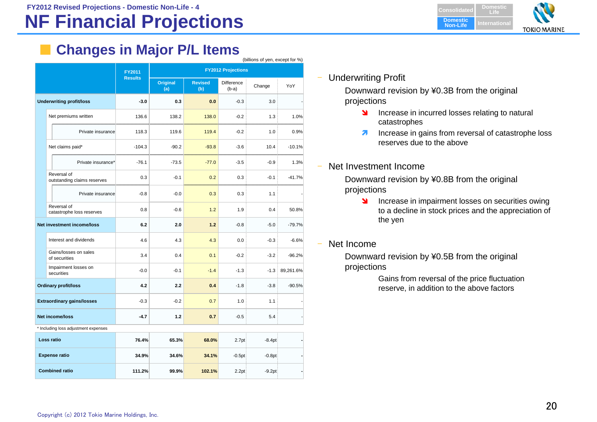# **NF Financial Projections**

**DomesticLifeDomestic Non-Life InternationalTOKIO MARINE** 

# **Changes in Major P/L Items**

|                                            |                |                        |                       |                           | (billions of yen, except for %) |           |
|--------------------------------------------|----------------|------------------------|-----------------------|---------------------------|---------------------------------|-----------|
|                                            | FY2011         |                        |                       | <b>FY2012 Projections</b> |                                 |           |
|                                            | <b>Results</b> | <b>Original</b><br>(a) | <b>Revised</b><br>(b) | Difference<br>$(b-a)$     | Change                          | YoY       |
| <b>Underwriting profit/loss</b>            | $-3.0$         | 0.3                    | 0.0                   | $-0.3$                    | 3.0                             |           |
| Net premiums written                       | 136.6          | 138.2                  | 138.0                 | $-0.2$                    | 1.3                             | 1.0%      |
| Private insurance                          | 118.3          | 119.6                  | 119.4                 | $-0.2$                    | 1.0                             | 0.9%      |
| Net claims paid*                           | $-104.3$       | $-90.2$                | $-93.8$               | $-3.6$                    | 10.4                            | $-10.1%$  |
| Private insurance*                         | $-76.1$        | $-73.5$                | $-77.0$               | $-3.5$                    | $-0.9$                          | 1.3%      |
| Reversal of<br>outstanding claims reserves | 0.3            | $-0.1$                 | 0.2                   | 0.3                       | $-0.1$                          | $-41.7%$  |
| Private insurance                          | $-0.8$         | $-0.0$                 | 0.3                   | 0.3                       | 1.1                             |           |
| Reversal of<br>catastrophe loss reserves   | 0.8            | $-0.6$                 | 1.2                   | 1.9                       | 0.4                             | 50.8%     |
| <b>Net investment income/loss</b>          | 6.2            | 2.0                    | 1.2                   | $-0.8$                    | $-5.0$                          | $-79.7%$  |
| Interest and dividends                     | 4.6            | 4.3                    | 4.3                   | 0.0                       | $-0.3$                          | $-6.6%$   |
| Gains/losses on sales<br>of securities     | 3.4            | 0.4                    | 0.1                   | $-0.2$                    | $-3.2$                          | $-96.2%$  |
| Impairment losses on<br>securities         | $-0.0$         | $-0.1$                 | $-1.4$                | $-1.3$                    | $-1.3$                          | 89,261.6% |
| <b>Ordinary profit/loss</b>                | 4.2            | 2.2                    | 0.4                   | $-1.8$                    | $-3.8$                          | $-90.5%$  |
| <b>Extraordinary gains/losses</b>          | $-0.3$         | $-0.2$                 | 0.7                   | 1.0                       | 1.1                             |           |
| <b>Net income/loss</b>                     | $-4.7$         | $1.2$                  | 0.7                   | $-0.5$                    | 5.4                             |           |
| * Including loss adjustment expenses       |                |                        |                       |                           |                                 |           |
| Loss ratio                                 | 76.4%          | 65.3%                  | 68.0%                 | 2.7 <sub>pt</sub>         | $-8.4pt$                        |           |
| <b>Expense ratio</b>                       | 34.9%          | 34.6%                  | 34.1%                 | $-0.5pt$                  | $-0.8pt$                        |           |
| <b>Combined ratio</b>                      | 111.2%         | 99.9%                  | 102.1%                | 2.2pt                     | $-9.2pt$                        |           |

Underwriting Profit

Downward revision by ¥0.3B from the original projections

- **Increase in incurred losses relating to natural** catastrophes
- $\overline{\phantom{a}}$  Increase in gains from reversal of catastrophe loss reserves due to the above
- Net Investment Income

Downward revision by ¥0.8B from the original projections

- $\blacksquare$  Increase in impairment losses on securities owing to a decline in stock prices and the appreciation of the yen
- Net Income

Downward revision by ¥0.5B from the original projections

> Gains from reversal of the price fluctuation reserve, in addition to the above factors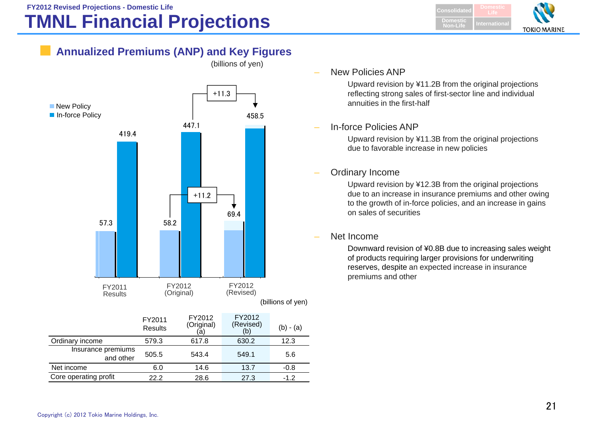# **TMNL Financial Projections**



## **Annualized Premiums (ANP) and Key Figures**



 $\overline{\phantom{a}}$ New Policies ANP

> Upward revision by ¥11.2B from the original projections reflecting strong sales of first-sector line and individual annuities in the first-half

#### In-force Policies ANP

Upward revision by ¥11.3B from the original projections due to favorable increase in new policies

#### $\overline{a}$ Ordinary Income

Upward revision by ¥12.3B from the original projections due to an increase in insurance premiums and other owing to the growth of in-force policies, and an increase in gains on sales of securities

#### Net Income

Downward revision of ¥0.8B due to increasing sales weight of products requiring larger provisions for underwriting reserves, despite an expected increase in insurance premiums and other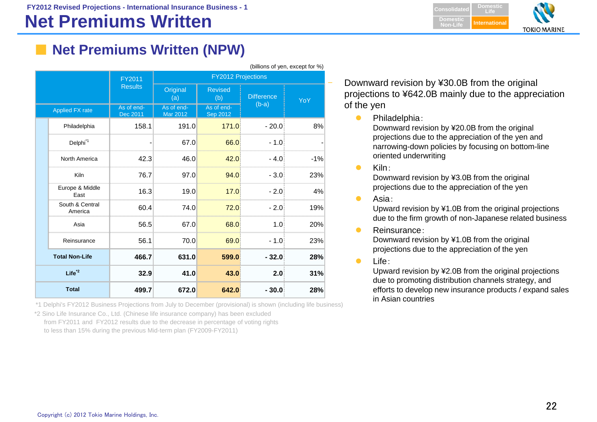**FY2012 Revised Projections - International Insurance Business - 1**

# **Net Premiums Written**

**DomesticConsolidat LifeDomesticNon-LifeInternationa TOKIO MARINE** 

# **Net Premiums Written (NPW)**

|                            | FY2011                 | <b>FY2012 Projections</b>     |                        |                   |       |  |  |
|----------------------------|------------------------|-------------------------------|------------------------|-------------------|-------|--|--|
|                            | <b>Results</b>         | Original<br>(a)               | <b>Revised</b><br>(b)  | <b>Difference</b> | YoY   |  |  |
| <b>Applied FX rate</b>     | As of end-<br>Dec 2011 | As of end-<br><b>Mar 2012</b> | As of end-<br>Sep 2012 | $(b-a)$           |       |  |  |
| Philadelphia               | 158.1                  | 191.0                         | 171.0                  | $-20.0$           | 8%    |  |  |
| Delphi <sup>1</sup>        |                        | 67.0                          | 66.0                   | $-1.0$            |       |  |  |
| <b>North America</b>       | 42.3                   | 46.0                          | 42.0                   | $-4.0$            | $-1%$ |  |  |
| Kiln                       | 76.7                   | 97.0                          | 94.0                   | $-3.0$            | 23%   |  |  |
| Europe & Middle<br>East    | 16.3                   | 19.0                          | 17.0                   | $-2.0$            | 4%    |  |  |
| South & Central<br>America | 60.4                   | 74.0                          | 72.0                   | $-2.0$            | 19%   |  |  |
| Asia                       | 56.5                   | 67.0                          | 68.0                   | 1.0 <sup>1</sup>  | 20%   |  |  |
| Reinsurance                | 56.1                   | 70.0                          | 69.0                   | - 1.0             | 23%   |  |  |
| <b>Total Non-Life</b>      | 466.7                  | 631.0                         | 599.0                  | $-32.0$           | 28%   |  |  |
| $Life^{\ast 2}$            | 32.9                   | 41.0                          | 43.0                   | 2.0               | 31%   |  |  |
| <b>Total</b>               | 499.7                  | 672.0                         | 642.0                  | $-30.0$           | 28%   |  |  |

\*1 Delphi's FY2012 Business Projections from July to December (provisional) is shown (including life business)

\*2 Sino Life Insurance Co., Ltd. (Chinese life insurance company) has been excluded

from FY2011 and FY2012 results due to the decrease in percentage of voting rights

to less than 15% during the previous Mid-term plan (FY2009-FY2011)

 Downward revision by ¥30.0B from the original projections to ¥642.0B mainly due to the appreciation of the yen

 $\bullet$ Philadelphia:

Downward revision by ¥20.0B from the original projections due to the appreciation of the yen and narrowing-down policies by focusing on bottom-line oriented underwriting

 $\bullet$ Kiln:

> Downward revision by ¥3.0B from the original projections due to the appreciation of the yen

 $\bullet$ Asia:

> Upward revision by ¥1.0B from the original projections due to the firm growth of non-Japanese related business

 $\bullet$ Reinsurance:

Downward revision by ¥1.0B from the original projections due to the appreciation of the yen

 $\bullet$ Life:

> Upward revision by ¥2.0B from the original projections due to promoting distribution channels strategy, and efforts to develop new insurance products / expand sales in Asian countries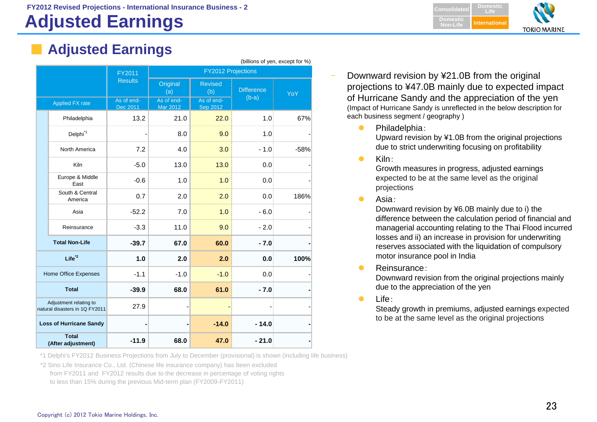# **Adjusted Earnings**



## **Adjusted Earnings**

|                                                          |                                    | FY2011                 |                               | <b>FY2012 Projections</b>     | (Dillions of yen, except for %) |      |  |
|----------------------------------------------------------|------------------------------------|------------------------|-------------------------------|-------------------------------|---------------------------------|------|--|
|                                                          |                                    | <b>Results</b>         | Original<br>(a)               | <b>Revised</b><br>(b)         | <b>Difference</b>               | YoY  |  |
| Applied FX rate                                          |                                    | As of end-<br>Dec 2011 | As of end-<br><b>Mar 2012</b> | As of end-<br><b>Sep 2012</b> | $(b-a)$                         |      |  |
|                                                          | Philadelphia                       | 13.2                   | 21.0                          | 22.0                          | 1.0                             | 67%  |  |
|                                                          | Delphi <sup>1</sup>                |                        | 8.0                           | 9.0                           | 1.0                             |      |  |
|                                                          | North America                      | 7.2                    | 4.0                           | 3.0                           | $-1.0$                          | -58% |  |
|                                                          | <b>Kiln</b>                        | $-5.0$                 | 13.0                          | 13.0                          | 0.0                             |      |  |
|                                                          | Europe & Middle<br>East            | $-0.6$                 | 1.0                           | 1.0                           | 0.0                             |      |  |
|                                                          | South & Central<br>America         | 0.7                    | 2.0                           | 2.0                           | 0.0                             | 186% |  |
|                                                          | Asia                               | $-52.2$                | 7.0                           | 1.0                           | $-6.0$                          |      |  |
|                                                          | Reinsurance                        | $-3.3$                 | 11.0                          | 9.0                           | $-2.0$                          |      |  |
|                                                          | <b>Total Non-Life</b>              | $-39.7$                | 67.0                          | 60.0                          | $-7.0$                          |      |  |
|                                                          | $Life^{\ast 2}$                    | 1.0                    | 2.0                           | 2.0                           | 0.0                             | 100% |  |
|                                                          | Home Office Expenses               | $-1.1$                 | $-1.0$                        | $-1.0$                        | 0.0                             |      |  |
| <b>Total</b>                                             |                                    | $-39.9$                | 68.0                          | 61.0                          | $-7.0$                          |      |  |
| Adjustment relating to<br>natural disasters in 1Q FY2011 |                                    | 27.9                   |                               |                               |                                 |      |  |
| <b>Loss of Hurricane Sandy</b>                           |                                    |                        |                               | $-14.0$                       | $-14.0$                         |      |  |
|                                                          | <b>Total</b><br>(After adjustment) | $-11.9$                | 68.0                          | 47.0                          | $-21.0$                         |      |  |

- Downward revision by ¥21.0B from the original projections to ¥47.0B mainly due to expected impact of Hurricane Sandy and the appreciation of the yen (Impact of Hurricane Sandy is unreflected in the below description for each business segment / geography )
	- $\bullet$  Philadelphia: Upward revision by ¥1.0B from the original projections due to strict underwriting focusing on profitability
	- $\bullet$ Kiln:

 $\theta$  and  $\theta$  is the set of  $\theta$  for  $\theta$ 

Growth measures in progress, adjusted earnings expected to be at the same level as the original projections

 $\bullet$ Asia:

> Downward revision by ¥6.0B mainly due to i) the difference between the calculation period of financial and managerial accounting relating to the Thai Flood incurred losses and ii) an increase in provision for underwriting reserves associated with the liquidation of compulsory motor insurance pool in India

 $\bullet$ Reinsurance:

Downward revision from the original projections mainly due to the appreciation of the yen

 $\bullet$ Life:

> Steady growth in premiums, adjusted earnings expected to be at the same level as the original projections

\*1 Delphi's FY2012 Business Projections from July to December (provisional) is shown (including life business)

\*2 Sino Life Insurance Co., Ltd. (Chinese life insurance company) has been excluded from FY2011 and FY2012 results due to the decrease in percentage of voting rights to less than 15% during the previous Mid-term plan (FY2009-FY2011)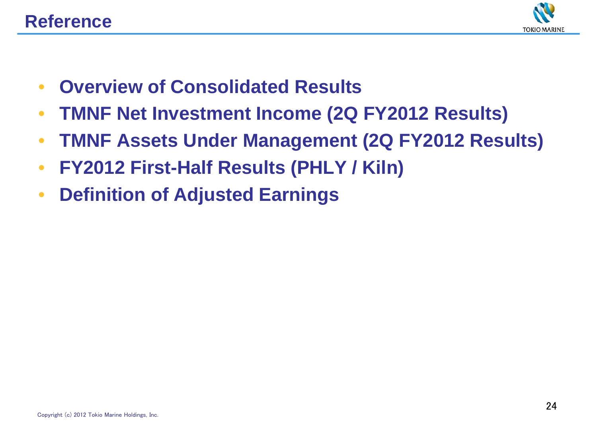

- $\bullet$ **Overview of Consolidated Results**
- $\bullet$ **TMNF Net Investment Income (2Q FY2012 Results)**
- $\bullet$ **TMNF Assets Under Management (2Q FY2012 Results)**
- $\bullet$ **FY2012 First-Half Results (PHLY / Kiln)**
- $\bullet$ **Definition of Adjusted Earnings**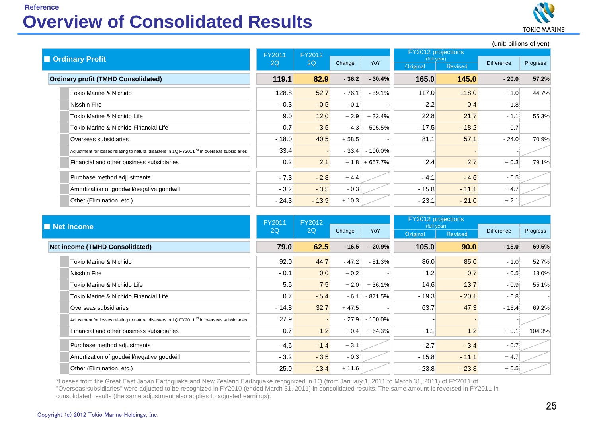#### **Reference**

# **Overview of Consolidated Results**



(unit: billions of yen)

|  |                                                                                                         | FY2011  | FY2012  |         |                    | FY2012 projections      |         | $\overline{\phantom{a}}$ |          |
|--|---------------------------------------------------------------------------------------------------------|---------|---------|---------|--------------------|-------------------------|---------|--------------------------|----------|
|  | <b>I Ordinary Profit</b>                                                                                |         | 2Q      | Change  | YoY                | (full year)<br>Original | Revised | <b>Difference</b>        | Progress |
|  | <b>Ordinary profit (TMHD Consolidated)</b>                                                              | 119.1   | 82.9    | $-36.2$ | $-30.4%$           | 165.0                   | 145.0   | $-20.0$                  | 57.2%    |
|  | Tokio Marine & Nichido                                                                                  | 128.8   | 52.7    | $-76.1$ | $-59.1%$           | 117.0                   | 118.0   | $+1.0$                   | 44.7%    |
|  | Nisshin Fire                                                                                            | $-0.3$  | $-0.5$  | $-0.1$  |                    | 2.2                     | 0.4     | $-1.8$                   |          |
|  | Tokio Marine & Nichido Life                                                                             | 9.0     | 12.0    | $+2.9$  | $+32.4%$           | 22.8                    | 21.7    | $-1.1$                   | 55.3%    |
|  | Tokio Marine & Nichido Financial Life                                                                   | 0.7     | $-3.5$  |         | $-4.3$ $-595.5%$   | $-17.5$                 | $-18.2$ | $-0.7$                   |          |
|  | Overseas subsidiaries                                                                                   | $-18.0$ | 40.5    | $+58.5$ |                    | 81.1                    | 57.1    | $-24.0$                  | 70.9%    |
|  | Adjustment for losses relating to natural disasters in 1Q FY2011 <sup>*3</sup> in overseas subsidiaries | 33.4    |         |         | $-33.4$ $-100.0\%$ |                         |         |                          |          |
|  | Financial and other business subsidiaries                                                               | 0.2     | 2.1     |         | $+ 1.8 + 657.7%$   | 2.4                     | 2.7     | $+0.3$                   | 79.1%    |
|  | Purchase method adjustments                                                                             | $-7.3$  | $-2.8$  | $+4.4$  |                    | $-4.1$                  | $-4.6$  | $-0.5$                   |          |
|  | Amortization of goodwill/negative goodwill                                                              | $-3.2$  | $-3.5$  | $-0.3$  |                    | $-15.8$                 | $-11.1$ | $+4.7$                   |          |
|  | Other (Elimination, etc.)                                                                               | $-24.3$ | $-13.9$ | $+10.3$ |                    | $-23.1$                 | $-21.0$ | $+2.1$                   |          |

|  |                                                                                                        | <b>FY2011</b> | FY2012       |          |                | <b>FY2012</b> projections |                  |                   |          |
|--|--------------------------------------------------------------------------------------------------------|---------------|--------------|----------|----------------|---------------------------|------------------|-------------------|----------|
|  | Net Income                                                                                             |               | 2Q           | Change   | YoY            | (full year)<br>Original   | Revised          | <b>Difference</b> | Progress |
|  | <b>Net income (TMHD Consolidated)</b>                                                                  |               | 62.5<br>79.0 | $-16.5$  | $-20.9%$       | 105.0                     | 90.0             | $-15.0$           | 69.5%    |
|  | Tokio Marine & Nichido                                                                                 | 92.0          | 44.7         | $-47.2$  | $-51.3%$       | 86.0                      | 85.0             | $-1.0$            | 52.7%    |
|  | Nisshin Fire                                                                                           | $-0.1$        | 0.0          | $+0.2$   |                | 1.2                       | 0.7              | $-0.5$            | 13.0%    |
|  | Tokio Marine & Nichido Life                                                                            | 5.5           | 7.5          | $+2.0$   | $+36.1%$       | 14.6                      | 13.7             | $-0.9$            | 55.1%    |
|  | Tokio Marine & Nichido Financial Life                                                                  | 0.7           | $-5.4$       | $-6.1$   | $-871.5%$      | $-19.3$                   | $-20.1$          | $-0.8$            |          |
|  | Overseas subsidiaries                                                                                  | $-14.8$       | 32.7         | $+47.5$  |                | 63.7                      | 47.3             | $-16.4$           | 69.2%    |
|  | Adjustment for losses relating to natural disasters in 1Q FY2011 <sup>3</sup> in overseas subsidiaries | 27.9          |              | $-27.9$  | $-100.0\%$     |                           |                  |                   |          |
|  | Financial and other business subsidiaries                                                              | 0.7           | 1.2          |          | $+0.4$ + 64.3% | 1.1                       | 1.2 <sub>1</sub> | $+0.1$            | 104.3%   |
|  | Purchase method adjustments                                                                            | $-4.6$        | $-1.4$       | $+3.1$   |                | $-2.7$                    | $-3.4$           | $-0.7$            |          |
|  | Amortization of goodwill/negative goodwill                                                             | $-3.2$        | $-3.5$       | $-0.3$   |                | $-15.8$                   | $-11.1$          | $+4.7$            |          |
|  | Other (Elimination, etc.)                                                                              | $-25.0$       | $-13.4$      | $+ 11.6$ |                | $-23.8$                   | $-23.3$          | $+0.5$            |          |

\*Losses from the Great East Japan Earthquake and New Zealand Earthquake recognized in 1Q (from January 1, 2011 to March 31, 2011) of FY2011 of "Overseas subsidiaries" were adjusted to be recognized in FY2010 (ended March 31, 2011) in consolidated results. The same amount is reversed in FY2011 in consolidated results (the same adjustment also applies to adjusted earnings).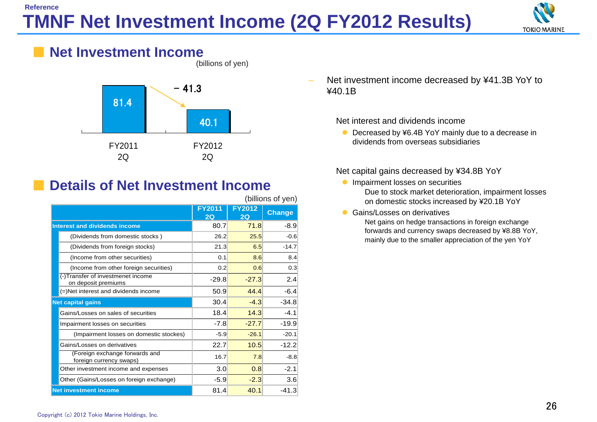## **TMNF Net Investment Income (2Q FY2012 Results) Reference**



#### **Net Investment Income** (billions of yen)



# **Details of Net Investment Income**

(billions of yen)

|                                                           | <b>FY2011</b><br>2Q | <b>FY2012</b><br>2Q | <b>Change</b> |
|-----------------------------------------------------------|---------------------|---------------------|---------------|
| <b>Interest and dividends income</b>                      | 80.7                | 71.8                | $-8.9$        |
| (Dividends from domestic stocks)                          | 26.2                | 25.5                | $-0.6$        |
| (Dividends from foreign stocks)                           | 21.3                | 6.5                 | $-14.7$       |
| (Income from other securities)                            | 0.1                 | 8.6                 | 8.4           |
| (Income from other foreign securities)                    | 0.2                 | 0.6                 | 0.3           |
| (-)Transfer of investmenet income<br>on deposit premiums  | $-29.8$             | $-27.3$             | 2.4           |
| (=)Net interest and dividends income                      | 50.9                | 44.4                | $-6.4$        |
| <b>Net capital gains</b>                                  | 30.4                | $-4.3$              | $-34.8$       |
| Gains/Losses on sales of securities                       | 18.4                | 14.3                | $-4.1$        |
| Impairment losses on securities                           | $-7.8$              | $-27.7$             | $-19.9$       |
| (Impairment losses on domestic stockes)                   | $-5.9$              | $-26.1$             | $-20.1$       |
| Gains/Losses on derivatives                               | 22.7                | 10.5                | $-12.2$       |
| (Foreign exchange forwards and<br>foreign currency swaps) | 16.7                | 7.8                 | $-8.8$        |
| Other investment income and expenses                      | 3.0                 | 0.8                 | $-2.1$        |
| Other (Gains/Losses on foreign exchange)                  | $-5.9$              | $-2.3$              | 3.6           |
| <b>Net investment income</b>                              | 81.4                | 40.1                | $-41.3$       |

 Net investment income decreased by ¥41.3B YoY to ¥40.1B

Net interest and dividends income

● Decreased by ¥6.4B YoY mainly due to a decrease in dividends from overseas subsidiaries

Net capital gains decreased by ¥34.8B YoY

- **Impairment losses on securities** Due to stock market deterioration, impairment losses on domestic stocks increased by ¥20.1B YoY
- Gains/Losses on derivatives

Net gains on hedge transactions in foreign exchange forwards and currency swaps decreased by ¥8.8B YoY, mainly due to the smaller appreciation of the yen YoY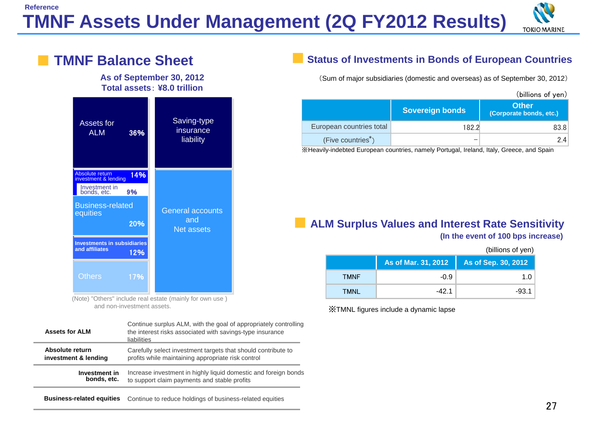## **TMNF Assets Under Management (2Q FY2012 Results) Reference**



#### Investment in<br>bonds, etc. **9%** Assets for ALMAbsolute return investment & lending **Others** Saving-type insurance liability General accountsand Net assets 36%20%12%17% 14% **As of September 30, 2012 Total assets**: **¥8.0 trillion**  Business-related **equities Investments in subsidiaries and affiliates TMNF Balance Sheet**

(Note) "Others" include real estate (mainly for own use ) and non-investment assets.

| <b>Assets for ALM</b> | Continue surplus ALM, with the goal of appropriately controlling<br>the interest risks associated with savings-type insurance<br>liabilities |  |  |  |  |
|-----------------------|----------------------------------------------------------------------------------------------------------------------------------------------|--|--|--|--|
| Absolute return       | Carefully select investment targets that should contribute to                                                                                |  |  |  |  |
| investment & lending  | profits while maintaining appropriate risk control                                                                                           |  |  |  |  |
| Investment in         | Increase investment in highly liquid domestic and foreign bonds                                                                              |  |  |  |  |
| bonds, etc.           | to support claim payments and stable profits                                                                                                 |  |  |  |  |
|                       |                                                                                                                                              |  |  |  |  |

## ■**Status of Investments in Bonds of European Countries**

(Sum of major subsidiaries (domestic and overseas) as of September 30, 2012)

|                          |                        | (billions of yen)                       |
|--------------------------|------------------------|-----------------------------------------|
|                          | <b>Sovereign bonds</b> | <b>Other</b><br>(Corporate bonds, etc.) |
| European countries total | 182.2                  | 83.8                                    |
| (Five countries*)        | –                      | 24                                      |

※Heavily-indebted European countries, namely Portugal, Ireland, Italy, Greece, and Spain

#### ■ **ALM Surplus Values and Interest Rate Sensitivity (In the event of 100 bps increase)**

| (billions of yen) |                     |                     |  |  |  |  |  |
|-------------------|---------------------|---------------------|--|--|--|--|--|
|                   | As of Mar. 31, 2012 | As of Sep. 30, 2012 |  |  |  |  |  |
| <b>TMNF</b>       | $-0.9$              | 1.0                 |  |  |  |  |  |
| TMNL              | -42.1               | $-93.1$             |  |  |  |  |  |

※TMNL figures include a dynamic lapse

**Business-related equities** Continue to reduce holdings of business-related equities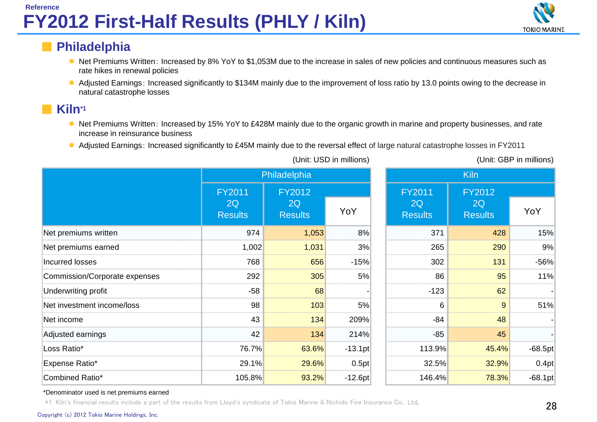

## ■ **Philadelphia**

- Net Premiums Written: Increased by 8% YoY to \$1,053M due to the increase in sales of new policies and continuous measures such as rate hikes in renewal policies
- Adjusted Earnings: Increased significantly to \$134M mainly due to the improvement of loss ratio by 13.0 points owing to the decrease in natural catastrophe losses

## **Kiln\*1**

- Net Premiums Written: Increased by 15% YoY to £428M mainly due to the organic growth in marine and property businesses, and rate increase in reinsurance business
- Adjusted Earnings: Increased significantly to £45M mainly due to the reversal effect of large natural catastrophe losses in FY2011

|                               | Philadelphia                          |                                       |           |  |                                       | Kiln                                  |           |
|-------------------------------|---------------------------------------|---------------------------------------|-----------|--|---------------------------------------|---------------------------------------|-----------|
|                               | <b>FY2011</b><br>2Q<br><b>Results</b> | <b>FY2012</b><br>2Q<br><b>Results</b> | YoY       |  | <b>FY2011</b><br>2Q<br><b>Results</b> | <b>FY2012</b><br>2Q<br><b>Results</b> | YoY       |
| Net premiums written          | 974                                   | 1,053                                 | 8%        |  | 371                                   | 428                                   | 15%       |
| Net premiums earned           | 1,002                                 | 1,031                                 | 3%        |  | 265                                   | 290                                   | 9%        |
| Incurred losses               | 768                                   | 656                                   | $-15%$    |  | 302                                   | 131                                   | -56%      |
| Commission/Corporate expenses | 292                                   | 305                                   | 5%        |  | 86                                    | 95                                    | 11%       |
| Underwriting profit           | $-58$                                 | 68                                    |           |  | $-123$                                | 62                                    |           |
| Net investment income/loss    | 98                                    | 103                                   | 5%        |  | 6                                     | 9                                     | 51%       |
| Net income                    | 43                                    | 134                                   | 209%      |  | $-84$                                 | 48                                    |           |
| Adjusted earnings             | 42                                    | 134                                   | 214%      |  | $-85$                                 | 45                                    |           |
| Loss Ratio*                   | 76.7%                                 | 63.6%                                 | $-13.1pt$ |  | 113.9%                                | 45.4%                                 | $-68.5pt$ |
| Expense Ratio*                | 29.1%                                 | 29.6%                                 | 0.5pt     |  | 32.5%                                 | 32.9%                                 | 0.4pt     |
| Combined Ratio*               | 105.8%                                | 93.2%                                 | $-12.6pt$ |  | 146.4%                                | 78.3%                                 | $-68.1pt$ |

#### (Unit: USD in millions) (Unit: GBP in millions)

|            | <b>Kiln</b>                                  |                      |           |  |  |  |  |  |
|------------|----------------------------------------------|----------------------|-----------|--|--|--|--|--|
|            | <b>FY2011</b>                                | FY2012               |           |  |  |  |  |  |
| YoY        | 2Q<br><b>Results</b>                         | 2Q<br><b>Results</b> | YoY       |  |  |  |  |  |
| 8%<br>     | 371                                          | 428                  | 15%       |  |  |  |  |  |
| 3%         | 265                                          | 290                  | 9%        |  |  |  |  |  |
| $-15%$<br> | 302<br>,,,,,,,,,,,,,,,,,,,,,,,,,,,,,,,,,,,,, | 131                  | -56%      |  |  |  |  |  |
| 5%         | 86                                           | 95                   | 11%       |  |  |  |  |  |
|            | $-123$                                       | 62                   |           |  |  |  |  |  |
| 5%         | h                                            |                      | 51%       |  |  |  |  |  |
| 209%       | -84                                          | 48                   |           |  |  |  |  |  |
| 214%       | -85                                          | 45                   |           |  |  |  |  |  |
| $-13.1pt$  | 113.9%                                       | 45.4%                | $-68.5pt$ |  |  |  |  |  |
| 0.5pt      | 32.5%                                        | 32.9%                | 0.4pt     |  |  |  |  |  |
| $-12.6pt$  | 146.4%                                       | 78.3%                | $-68.1pt$ |  |  |  |  |  |

#### \*Denominator used is net premiums earned

\*1: Kiln's financial results include a part of the results from Lloyd's syndicate of Tokio Marine & Nichido Fire Insurance Co., Ltd.

#### Copyright (c) 2012 Tokio Marine Holdings, Inc.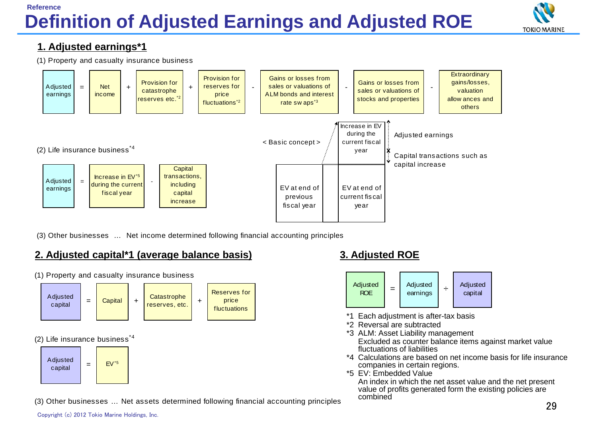## **Definition of Adjusted Earnings and Adjusted ROE Reference**



#### **1. Adjusted earnings\*1**





(3) Other businesses … Net income determined following financial accounting principles

## **2. Adjusted capital\*1 (average balance basis) 3. Adjusted ROE**



(1) Property and casualty insurance business



- Each adjustment is after-tax basis
- \*2 Reversal are subtracted
- \*3 ALM: Asset Liability management Excluded as counter balance items against market value fluctuations of liabilities
- \*4 Calculations are based on net income basis for life insurance companies in certain regions.
- \*5 EV: Embedded Value

An index in which the net asset value and the net present value of profits generated form the existing policies are combined

(3) Other businesses … Net assets determined following financial accounting principles